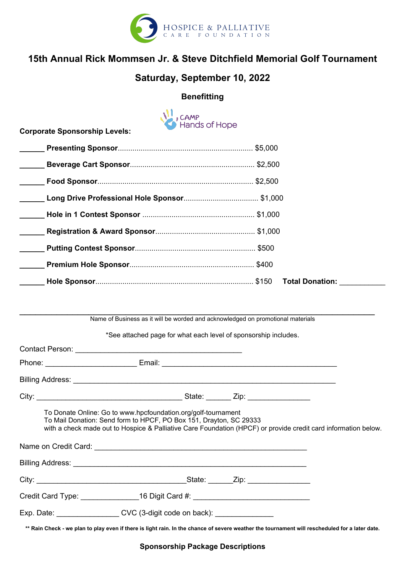

# 15th Annual Rick Mommsen Jr. & Steve Ditchfield Memorial Golf Tournament

## Saturday, September 10, 2022

### **Benefitting**

| <b>Hands of Hope</b>                 |                        |
|--------------------------------------|------------------------|
| <b>Corporate Sponsorship Levels:</b> |                        |
|                                      |                        |
|                                      |                        |
|                                      |                        |
|                                      |                        |
|                                      |                        |
|                                      |                        |
|                                      |                        |
|                                      |                        |
|                                      | <b>Total Donation:</b> |
|                                      |                        |

Name of Business as it will be worded and acknowledged on promotional materials

 $\mathcal{L}_\mathcal{L}$  , and the contribution of the contribution of the contribution of the contribution of the contribution of the contribution of the contribution of the contribution of the contribution of the contribution of

\*See attached page for what each level of sponsorship includes.

| To Donate Online: Go to www.hpcfoundation.org/golf-tournament<br>To Mail Donation: Send form to HPCF, PO Box 151, Drayton, SC 29333<br>with a check made out to Hospice & Palliative Care Foundation (HPCF) or provide credit card information below. |  |
|-------------------------------------------------------------------------------------------------------------------------------------------------------------------------------------------------------------------------------------------------------|--|
|                                                                                                                                                                                                                                                       |  |
|                                                                                                                                                                                                                                                       |  |
| Credit Card Type: 16 Digit Card #: 2008 Credit Card #:                                                                                                                                                                                                |  |
| Exp. Date: CVC (3-digit code on back):                                                                                                                                                                                                                |  |
|                                                                                                                                                                                                                                                       |  |

\*\* Rain Check - we plan to play even if there is light rain. In the chance of severe weather the tournament will rescheduled for a later date.

Sponsorship Package Descriptions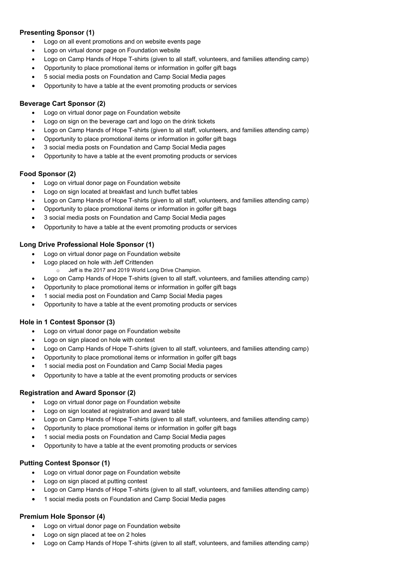#### Presenting Sponsor (1)

- Logo on all event promotions and on website events page
- Logo on virtual donor page on Foundation website
- Logo on Camp Hands of Hope T-shirts (given to all staff, volunteers, and families attending camp)
- Opportunity to place promotional items or information in golfer gift bags
- 5 social media posts on Foundation and Camp Social Media pages
- Opportunity to have a table at the event promoting products or services

#### Beverage Cart Sponsor (2)

- Logo on virtual donor page on Foundation website
- Logo on sign on the beverage cart and logo on the drink tickets
- Logo on Camp Hands of Hope T-shirts (given to all staff, volunteers, and families attending camp)
- Opportunity to place promotional items or information in golfer gift bags
- 3 social media posts on Foundation and Camp Social Media pages
- Opportunity to have a table at the event promoting products or services

#### Food Sponsor (2)

- Logo on virtual donor page on Foundation website
- Logo on sign located at breakfast and lunch buffet tables
- Logo on Camp Hands of Hope T-shirts (given to all staff, volunteers, and families attending camp)
- Opportunity to place promotional items or information in golfer gift bags
- · 3 social media posts on Foundation and Camp Social Media pages
- Opportunity to have a table at the event promoting products or services

#### Long Drive Professional Hole Sponsor (1)

- Logo on virtual donor page on Foundation website
- Logo placed on hole with Jeff Crittenden
	- o Jeff is the 2017 and 2019 World Long Drive Champion.
- Logo on Camp Hands of Hope T-shirts (given to all staff, volunteers, and families attending camp)
- Opportunity to place promotional items or information in golfer gift bags
- · 1 social media post on Foundation and Camp Social Media pages
- Opportunity to have a table at the event promoting products or services

#### Hole in 1 Contest Sponsor (3)

- Logo on virtual donor page on Foundation website
- Logo on sign placed on hole with contest
- Logo on Camp Hands of Hope T-shirts (given to all staff, volunteers, and families attending camp)
- Opportunity to place promotional items or information in golfer gift bags
- · 1 social media post on Foundation and Camp Social Media pages
- Opportunity to have a table at the event promoting products or services

#### Registration and Award Sponsor (2)

- Logo on virtual donor page on Foundation website
- Logo on sign located at registration and award table
- Logo on Camp Hands of Hope T-shirts (given to all staff, volunteers, and families attending camp)
- Opportunity to place promotional items or information in golfer gift bags
- · 1 social media posts on Foundation and Camp Social Media pages
- Opportunity to have a table at the event promoting products or services

#### Putting Contest Sponsor (1)

- Logo on virtual donor page on Foundation website
- Logo on sign placed at putting contest
- Logo on Camp Hands of Hope T-shirts (given to all staff, volunteers, and families attending camp)
- 1 social media posts on Foundation and Camp Social Media pages

#### Premium Hole Sponsor (4)

- Logo on virtual donor page on Foundation website
- Logo on sign placed at tee on 2 holes
- Logo on Camp Hands of Hope T-shirts (given to all staff, volunteers, and families attending camp)